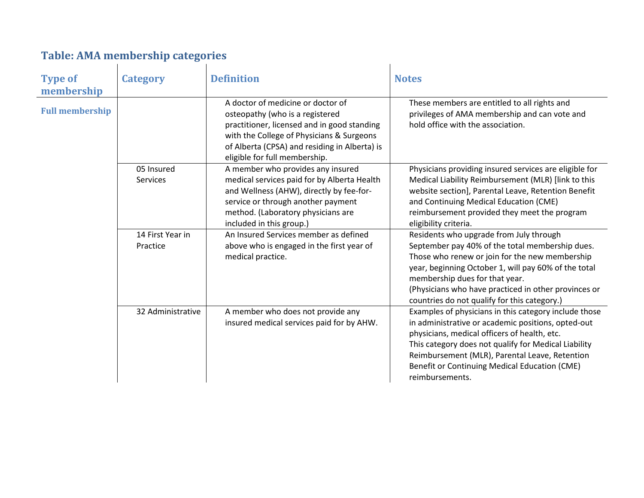## **Table: AMA membership categories**

| <b>Type of</b><br>membership | <b>Category</b>                                   | <b>Definition</b>                                                                                                                                                                                                                                  | <b>Notes</b>                                                                                                                                                                                                                                                                                                                                   |
|------------------------------|---------------------------------------------------|----------------------------------------------------------------------------------------------------------------------------------------------------------------------------------------------------------------------------------------------------|------------------------------------------------------------------------------------------------------------------------------------------------------------------------------------------------------------------------------------------------------------------------------------------------------------------------------------------------|
| <b>Full membership</b>       |                                                   | A doctor of medicine or doctor of<br>osteopathy (who is a registered<br>practitioner, licensed and in good standing<br>with the College of Physicians & Surgeons<br>of Alberta (CPSA) and residing in Alberta) is<br>eligible for full membership. | These members are entitled to all rights and<br>privileges of AMA membership and can vote and<br>hold office with the association.                                                                                                                                                                                                             |
|                              | 05 Insured<br>Services                            | A member who provides any insured<br>medical services paid for by Alberta Health<br>and Wellness (AHW), directly by fee-for-<br>service or through another payment<br>method. (Laboratory physicians are<br>included in this group.)               | Physicians providing insured services are eligible for<br>Medical Liability Reimbursement (MLR) [link to this<br>website section], Parental Leave, Retention Benefit<br>and Continuing Medical Education (CME)<br>reimbursement provided they meet the program<br>eligibility criteria.                                                        |
|                              | 14 First Year in<br>Practice<br>medical practice. | An Insured Services member as defined<br>above who is engaged in the first year of                                                                                                                                                                 | Residents who upgrade from July through<br>September pay 40% of the total membership dues.<br>Those who renew or join for the new membership<br>year, beginning October 1, will pay 60% of the total<br>membership dues for that year.<br>(Physicians who have practiced in other provinces or<br>countries do not qualify for this category.) |
|                              | 32 Administrative                                 | A member who does not provide any<br>insured medical services paid for by AHW.                                                                                                                                                                     | Examples of physicians in this category include those<br>in administrative or academic positions, opted-out<br>physicians, medical officers of health, etc.<br>This category does not qualify for Medical Liability<br>Reimbursement (MLR), Parental Leave, Retention<br>Benefit or Continuing Medical Education (CME)<br>reimbursements.      |